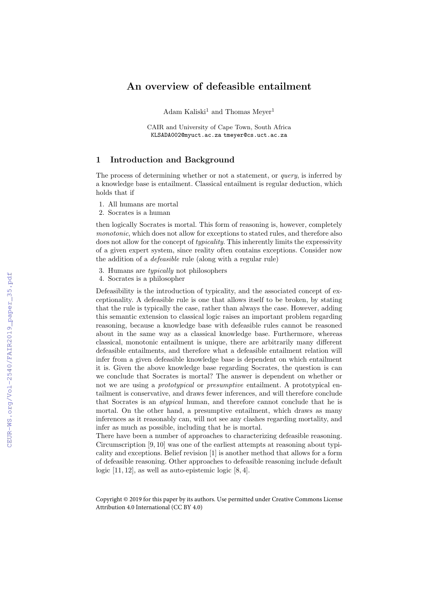# An overview of defeasible entailment

Adam Kaliski<sup>1</sup> and Thomas Meyer<sup>1</sup>

CAIR and University of Cape Town, South Africa KLSADA002@myuct.ac.za tmeyer@cs.uct.ac.za

#### 1 Introduction and Background

The process of determining whether or not a statement, or *query*, is inferred by a knowledge base is entailment. Classical entailment is regular deduction, which holds that if

- 1. All humans are mortal
- 2. Socrates is a human

then logically Socrates is mortal. This form of reasoning is, however, completely monotonic, which does not allow for exceptions to stated rules, and therefore also does not allow for the concept of *typicality*. This inherently limits the expressivity of a given expert system, since reality often contains exceptions. Consider now the addition of a defeasible rule (along with a regular rule)

- 3. Humans are typically not philosophers
- 4. Socrates is a philosopher

Defeasibility is the introduction of typicality, and the associated concept of exceptionality. A defeasible rule is one that allows itself to be broken, by stating that the rule is typically the case, rather than always the case. However, adding this semantic extension to classical logic raises an important problem regarding reasoning, because a knowledge base with defeasible rules cannot be reasoned about in the same way as a classical knowledge base. Furthermore, whereas classical, monotonic entailment is unique, there are arbitrarily many different defeasible entailments, and therefore what a defeasible entailment relation will infer from a given defeasible knowledge base is dependent on which entailment it is. Given the above knowledge base regarding Socrates, the question is can we conclude that Socrates is mortal? The answer is dependent on whether or not we are using a *prototypical* or *presumptive* entailment. A prototypical entailment is conservative, and draws fewer inferences, and will therefore conclude that Socrates is an atypical human, and therefore cannot conclude that he is mortal. On the other hand, a presumptive entailment, which draws as many inferences as it reasonably can, will not see any clashes regarding mortality, and infer as much as possible, including that he is mortal.

There have been a number of approaches to characterizing defeasible reasoning. Circumscription [9, 10] was one of the earliest attempts at reasoning about typicality and exceptions. Belief revision [1] is another method that allows for a form of defeasible reasoning. Other approaches to defeasible reasoning include default logic [11, 12], as well as auto-epistemic logic [8, 4].

Copyright © 2019 for this paper by its authors. Use permitted under Creative Commons License Attribution 4.0 International (CC BY 4.0)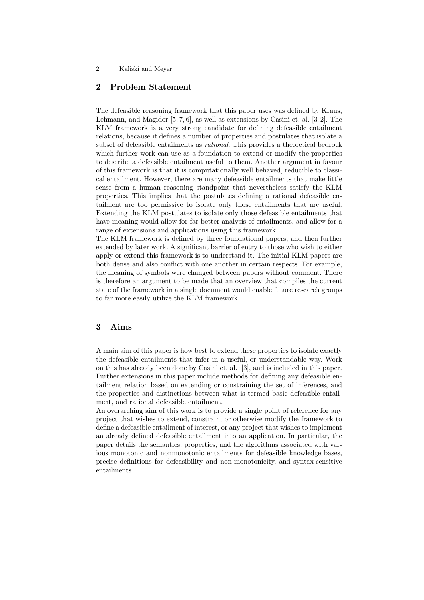#### 2 Kaliski and Meyer

## 2 Problem Statement

The defeasible reasoning framework that this paper uses was defined by Kraus, Lehmann, and Magidor [5, 7, 6], as well as extensions by Casini et. al. [3, 2]. The KLM framework is a very strong candidate for defining defeasible entailment relations, because it defines a number of properties and postulates that isolate a subset of defeasible entailments as *rational*. This provides a theoretical bedrock which further work can use as a foundation to extend or modify the properties to describe a defeasible entailment useful to them. Another argument in favour of this framework is that it is computationally well behaved, reducible to classical entailment. However, there are many defeasible entailments that make little sense from a human reasoning standpoint that nevertheless satisfy the KLM properties. This implies that the postulates defining a rational defeasible entailment are too permissive to isolate only those entailments that are useful. Extending the KLM postulates to isolate only those defeasible entailments that have meaning would allow for far better analysis of entailments, and allow for a range of extensions and applications using this framework.

The KLM framework is defined by three foundational papers, and then further extended by later work. A significant barrier of entry to those who wish to either apply or extend this framework is to understand it. The initial KLM papers are both dense and also conflict with one another in certain respects. For example, the meaning of symbols were changed between papers without comment. There is therefore an argument to be made that an overview that compiles the current state of the framework in a single document would enable future research groups to far more easily utilize the KLM framework.

### 3 Aims

A main aim of this paper is how best to extend these properties to isolate exactly the defeasible entailments that infer in a useful, or understandable way. Work on this has already been done by Casini et. al. [3], and is included in this paper. Further extensions in this paper include methods for defining any defeasible entailment relation based on extending or constraining the set of inferences, and the properties and distinctions between what is termed basic defeasible entailment, and rational defeasible entailment.

An overarching aim of this work is to provide a single point of reference for any project that wishes to extend, constrain, or otherwise modify the framework to define a defeasible entailment of interest, or any project that wishes to implement an already defined defeasible entailment into an application. In particular, the paper details the semantics, properties, and the algorithms associated with various monotonic and nonmonotonic entailments for defeasible knowledge bases, precise definitions for defeasibility and non-monotonicity, and syntax-sensitive entailments.